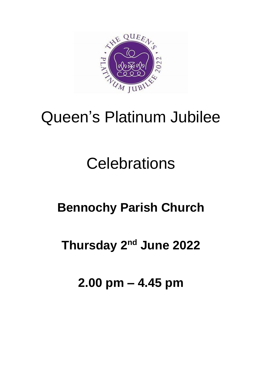

# Queen's Platinum Jubilee

# **Celebrations**

## **Bennochy Parish Church**

## **Thursday 2nd June 2022**

### **2.00 pm – 4.45 pm**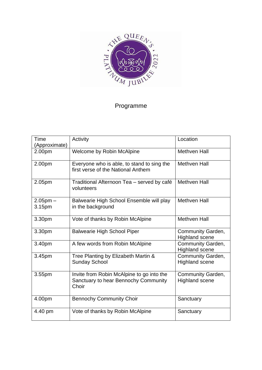

#### Programme

| Time<br>(Approximate)   | Activity                                                                                   | Location                                   |
|-------------------------|--------------------------------------------------------------------------------------------|--------------------------------------------|
| 2.00pm                  | Welcome by Robin McAlpine                                                                  | <b>Methven Hall</b>                        |
| 2.00pm                  | Everyone who is able, to stand to sing the<br>first verse of the National Anthem           | <b>Methven Hall</b>                        |
| 2.05pm                  | Traditional Afternoon Tea - served by café<br>volunteers                                   | <b>Methven Hall</b>                        |
| $2.05$ pm $-$<br>3.15pm | Balwearie High School Ensemble will play<br>in the background                              | <b>Methven Hall</b>                        |
| 3.30pm                  | Vote of thanks by Robin McAlpine                                                           | <b>Methven Hall</b>                        |
| 3.30pm                  | <b>Balwearie High School Piper</b>                                                         | Community Garden,<br><b>Highland scene</b> |
| 3.40pm                  | A few words from Robin McAlpine                                                            | Community Garden,<br><b>Highland scene</b> |
| 3.45pm                  | Tree Planting by Elizabeth Martin &<br><b>Sunday School</b>                                | Community Garden,<br><b>Highland scene</b> |
| 3.55pm                  | Invite from Robin McAlpine to go into the<br>Sanctuary to hear Bennochy Community<br>Choir | Community Garden,<br><b>Highland scene</b> |
| 4.00pm                  | <b>Bennochy Community Choir</b>                                                            | Sanctuary                                  |
| 4.40 pm                 | Vote of thanks by Robin McAlpine                                                           | Sanctuary                                  |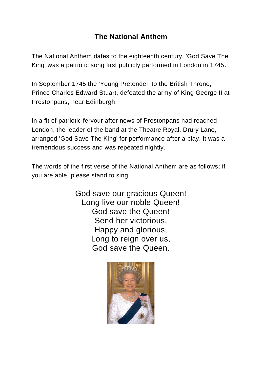#### **The National Anthem**

The National Anthem dates to the eighteenth century. 'God Save The King' was a patriotic song first publicly performed in London in 1745.

In September 1745 the 'Young Pretender' to the British Throne, Prince Charles Edward Stuart, defeated the army of King George II at Prestonpans, near Edinburgh.

In a fit of patriotic fervour after news of Prestonpans had reached London, the leader of the band at the Theatre Royal, Drury Lane, arranged 'God Save The King' for performance after a play. It was a tremendous success and was repeated nightly.

The words of the first verse of the National Anthem are as follows; if you are able, please stand to sing

> God save our gracious Queen! Long live our noble Queen! God save the Queen! Send her victorious, Happy and glorious, Long to reign over us, God save the Queen.

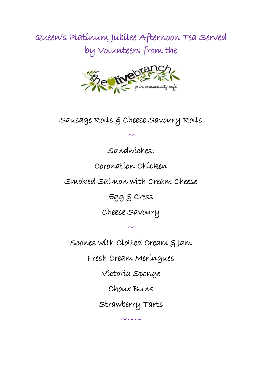Queen's Platinum Jubilee Afternoon Tea Served by Volunteers from the



Sausage Rolls & Cheese Savoury Rolls

 $\tilde{\phantom{0}}$ 

Sandwiches:

Coronation Chicken

Smoked Salmon with Cream Cheese

Egg & Cress

Cheese Savoury

Scones with Clotted Cream & Jam

 $\tilde{\phantom{0}}$ 

Fresh Cream Meringues

Victoria Sponge

Choux Buns

Strawberry Tarts

~~~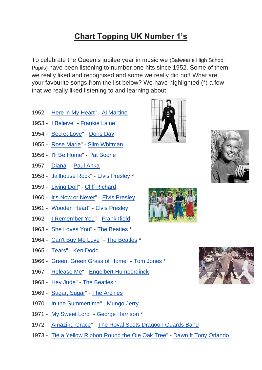#### **Chart Topping UK Number 1's**

To celebrate the Queen's jubilee year in music we (Balwearie High School Pupils) have been listening to number one hits since 1952. Some of them we really liked and recognised and some we really did not! What are your favourite songs from the list below? We have highlighted (\*) a few that we really liked listening to and learning about!

- 1952 ["Here in My Heart"](https://en.wikipedia.org/wiki/Here_in_My_Heart) [Al Martino](https://en.wikipedia.org/wiki/Al_Martino)
- 1953 ["I Believe"](https://en.wikipedia.org/wiki/I_Believe_(1953_song)) [Frankie Laine](https://en.wikipedia.org/wiki/Frankie_Laine)
- 1954 ["Secret Love"](https://en.wikipedia.org/wiki/Secret_Love_(Doris_Day_song)) [Doris Day](https://en.wikipedia.org/wiki/Doris_Day)
- 1955 ["Rose Marie"](https://en.wikipedia.org/wiki/Rose_Marie_(song)) [Slim Whitman](https://en.wikipedia.org/wiki/Slim_Whitman)
- 1956 ["I'll Be Home"](https://en.wikipedia.org/wiki/I%27ll_Be_Home) [Pat Boone](https://en.wikipedia.org/wiki/Pat_Boone)
- 1957 ["Diana"](https://en.wikipedia.org/wiki/Diana_(Paul_Anka_song)) [Paul Anka](https://en.wikipedia.org/wiki/Paul_Anka)
- 1958 ["Jailhouse Rock"](https://en.wikipedia.org/wiki/Jailhouse_Rock_(song)) [Elvis Presley](https://en.wikipedia.org/wiki/Elvis_Presley) \*
- 1959 ["Living Doll"](https://en.wikipedia.org/wiki/Living_Doll_(song)) [Cliff Richard](https://en.wikipedia.org/wiki/Cliff_Richard)
- 1960 ["It's Now or Never"](https://en.wikipedia.org/wiki/It%27s_Now_or_Never_(song)) [Elvis Presley](https://en.wikipedia.org/wiki/Elvis_Presley)
- 1961 ["Wooden Heart"](https://en.wikipedia.org/wiki/Wooden_Heart) [Elvis Presley](https://en.wikipedia.org/wiki/Elvis_Presley)
- 1962 ["I Remember You"](https://en.wikipedia.org/wiki/I_Remember_You_(1941_song)) [Frank Ifield](https://en.wikipedia.org/wiki/Frank_Ifield)
- 1963 ["She Loves You"](https://en.wikipedia.org/wiki/She_Loves_You) [The Beatles](https://en.wikipedia.org/wiki/The_Beatles) \*
- 1964 ["Can't Buy Me Love"](https://en.wikipedia.org/wiki/Can%27t_Buy_Me_Love) [The Beatles](https://en.wikipedia.org/wiki/The_Beatles) \*
- 1965 ["Tears"](https://en.wikipedia.org/wiki/Tears_(Ken_Dodd_song)) [Ken Dodd](https://en.wikipedia.org/wiki/Ken_Dodd)
- 1966 ["Green, Green Grass of Home"](https://en.wikipedia.org/wiki/Green,_Green_Grass_of_Home) [Tom Jones](https://en.wikipedia.org/wiki/Tom_Jones_(singer)) \*
- 1967 ["Release Me"](https://en.wikipedia.org/wiki/Release_Me_(1967_song)) [Engelbert Humperdinck](https://en.wikipedia.org/wiki/Engelbert_Humperdinck_(singer))
- 1968 ["Hey Jude"](https://en.wikipedia.org/wiki/Hey_Jude) [The Beatles](https://en.wikipedia.org/wiki/The_Beatles) \*
- 1969 ["Sugar, Sugar"](https://en.wikipedia.org/wiki/Sugar,_Sugar) [The Archies](https://en.wikipedia.org/wiki/The_Archies)
- 1970 ["In the Summertime"](https://en.wikipedia.org/wiki/In_the_Summertime) [Mungo Jerry](https://en.wikipedia.org/wiki/Mungo_Jerry)
- 1971 ["My Sweet Lord"](https://en.wikipedia.org/wiki/My_Sweet_Lord) [George Harrison](https://en.wikipedia.org/wiki/George_Harrison) \*
- 1972 ["Amazing Grace"](https://en.wikipedia.org/wiki/Amazing_Grace) [The Royal Scots Dragoon Guards Band](https://en.wikipedia.org/wiki/Royal_Scots_Dragoon_Guards)
- 1973 ["Tie a Yellow Ribbon Round the Ole Oak Tree"](https://en.wikipedia.org/wiki/Tie_a_Yellow_Ribbon_Round_the_Ole_Oak_Tree) [Dawn ft Tony Orlando](https://en.wikipedia.org/wiki/Dawn_featuring_Tony_Orlando)







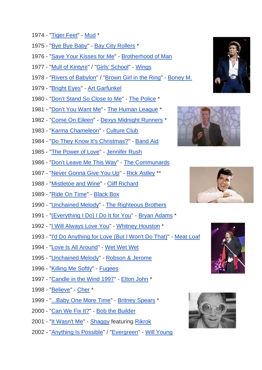- 1974 ["Tiger Feet"](https://en.wikipedia.org/wiki/Tiger_Feet) [Mud](https://en.wikipedia.org/wiki/Mud_(band)) \*
- 1975 ["Bye Bye Baby"](https://en.wikipedia.org/wiki/Bye,_Bye,_Baby_(Baby_Goodbye)) [Bay City Rollers](https://en.wikipedia.org/wiki/Bay_City_Rollers) \*
- 1976 ["Save Your Kisses for Me"](https://en.wikipedia.org/wiki/Save_Your_Kisses_for_Me) [Brotherhood of Man](https://en.wikipedia.org/wiki/Brotherhood_of_Man)
- 1977 ["Mull of Kintyre"](https://en.wikipedia.org/wiki/Mull_of_Kintyre_(song)) / ["Girls' School"](https://en.wikipedia.org/wiki/Girls%27_School_(song)) [Wings](https://en.wikipedia.org/wiki/Wings_(band))
- 1978 ["Rivers of Babylon"](https://en.wikipedia.org/wiki/Rivers_of_Babylon) / ["Brown Girl in the Ring"](https://en.wikipedia.org/wiki/Brown_Girl_in_the_Ring_(song)) [Boney M.](https://en.wikipedia.org/wiki/Boney_M.)
- 1979 ["Bright Eyes"](https://en.wikipedia.org/wiki/Bright_Eyes_(Art_Garfunkel_song)) [Art Garfunkel](https://en.wikipedia.org/wiki/Art_Garfunkel)
- 1980 ["Don't Stand So Close to Me"](https://en.wikipedia.org/wiki/Don%27t_Stand_So_Close_to_Me) [The Police](https://en.wikipedia.org/wiki/The_Police) \*
- 1981 ["Don't You Want Me"](https://en.wikipedia.org/wiki/Don%27t_You_Want_Me) [The Human League](https://en.wikipedia.org/wiki/The_Human_League) \*
- 1982 ["Come On Eileen"](https://en.wikipedia.org/wiki/Come_On_Eileen) [Dexys Midnight Runners](https://en.wikipedia.org/wiki/Dexys_Midnight_Runners) \*
- 1983 ["Karma Chameleon"](https://en.wikipedia.org/wiki/Karma_Chameleon) [Culture Club](https://en.wikipedia.org/wiki/Culture_Club)
- 1984 ["Do They Know It's Christmas?"](https://en.wikipedia.org/wiki/Do_They_Know_It%27s_Christmas%3F) [Band Aid](https://en.wikipedia.org/wiki/Band_Aid_(band))
- 1985 ["The Power of Love"](https://en.wikipedia.org/wiki/The_Power_of_Love_(Jennifer_Rush_song)) [Jennifer Rush](https://en.wikipedia.org/wiki/Jennifer_Rush)
- 1986 ["Don't Leave Me This Way"](https://en.wikipedia.org/wiki/Don%27t_Leave_Me_This_Way) [The Communards](https://en.wikipedia.org/wiki/The_Communards)
- 1987 ["Never Gonna Give You Up"](https://en.wikipedia.org/wiki/Never_Gonna_Give_You_Up) [Rick Astley](https://en.wikipedia.org/wiki/Rick_Astley) \*\*
- 1988 ["Mistletoe and Wine"](https://en.wikipedia.org/wiki/Mistletoe_and_Wine) [Cliff Richard](https://en.wikipedia.org/wiki/Cliff_Richard)
- 1989 ["Ride On Time"](https://en.wikipedia.org/wiki/Ride_On_Time) [Black Box](https://en.wikipedia.org/wiki/Black_Box_(band))
- 1990 ["Unchained Melody"](https://en.wikipedia.org/wiki/Unchained_Melody) [The Righteous Brothers](https://en.wikipedia.org/wiki/The_Righteous_Brothers)
- 1991 ["\(Everything I Do\) I Do It for You"](https://en.wikipedia.org/wiki/(Everything_I_Do)_I_Do_It_for_You) [Bryan Adams](https://en.wikipedia.org/wiki/Bryan_Adams) \*
- 1992 ["I Will Always Love You"](https://en.wikipedia.org/wiki/I_Will_Always_Love_You#Whitney_Houston_version) [Whitney Houston](https://en.wikipedia.org/wiki/Whitney_Houston) \*
- 1993 ["I'd Do Anything for Love \(But I Won't Do That\)"](https://en.wikipedia.org/wiki/I%27d_Do_Anything_for_Love_(But_I_Won%27t_Do_That)) [Meat Loaf](https://en.wikipedia.org/wiki/Meat_Loaf)
- 1994 ["Love Is All Around"](https://en.wikipedia.org/wiki/Love_Is_All_Around#Wet_Wet_Wet_version) [Wet Wet Wet](https://en.wikipedia.org/wiki/Wet_Wet_Wet)
- 1995 ["Unchained Melody"](https://en.wikipedia.org/wiki/Unchained_Melody) [Robson & Jerome](https://en.wikipedia.org/wiki/Robson_%26_Jerome)
- 1996 ["Killing Me Softly"](https://en.wikipedia.org/wiki/Killing_Me_Softly_with_His_Song#Fugees_version) [Fugees](https://en.wikipedia.org/wiki/Fugees)
- 1997 ["Candle in the Wind 1997"](https://en.wikipedia.org/wiki/Candle_in_the_Wind_1997) [Elton John](https://en.wikipedia.org/wiki/Elton_John) \*
- 1998 ["Believe"](https://en.wikipedia.org/wiki/Believe_(Cher_song)) [Cher](https://en.wikipedia.org/wiki/Cher) \*
- 1999 ["...Baby One More Time"](https://en.wikipedia.org/wiki/...Baby_One_More_Time_(song)) [Britney Spears](https://en.wikipedia.org/wiki/Britney_Spears) \*
- 2000 ["Can We Fix It?"](https://en.wikipedia.org/wiki/Can_We_Fix_It%3F) [Bob the Builder](https://en.wikipedia.org/wiki/Bob_the_Builder)
- 2001 ["It Wasn't Me"](https://en.wikipedia.org/wiki/It_Wasn%27t_Me) [Shaggy](https://en.wikipedia.org/wiki/Shaggy_(artist)) featuring [Rikrok](https://en.wikipedia.org/wiki/Rikrok)
- 2002 ["Anything Is Possible"](https://en.wikipedia.org/wiki/Anything_Is_Possible_(Will_Young_song)) / ["Evergreen"](https://en.wikipedia.org/wiki/Evergreen_(Westlife_song)#Will_Young_version) [Will Young](https://en.wikipedia.org/wiki/Will_Young)









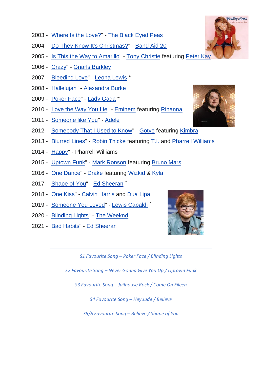- 2003 ["Where Is the Love?"](https://en.wikipedia.org/wiki/Where_Is_the_Love%3F) [The Black Eyed Peas](https://en.wikipedia.org/wiki/The_Black_Eyed_Peas)
- 2004 ["Do They Know It's Christmas?"](https://en.wikipedia.org/wiki/Do_They_Know_It%27s_Christmas%3F) [Band Aid 20](https://en.wikipedia.org/wiki/Band_Aid_(band))
- 2005 ["Is This the Way to Amarillo"](https://en.wikipedia.org/wiki/Is_This_the_Way_to_Amarillo) [Tony Christie](https://en.wikipedia.org/wiki/Tony_Christie) featuring [Peter Kay](https://en.wikipedia.org/wiki/Peter_Kay)
- 2006 ["Crazy"](https://en.wikipedia.org/wiki/Crazy_(Gnarls_Barkley_song)) [Gnarls Barkley](https://en.wikipedia.org/wiki/Gnarls_Barkley)
- 2007 ["Bleeding Love"](https://en.wikipedia.org/wiki/Bleeding_Love) [Leona Lewis](https://en.wikipedia.org/wiki/Leona_Lewis) \*
- 2008 ["Hallelujah"](https://en.wikipedia.org/wiki/Hallelujah_(Leonard_Cohen_song)#Alexandra_Burke) [Alexandra Burke](https://en.wikipedia.org/wiki/Alexandra_Burke)
- 2009 ["Poker Face"](https://en.wikipedia.org/wiki/Poker_Face_(Lady_Gaga_song)) [Lady Gaga](https://en.wikipedia.org/wiki/Lady_Gaga) \*
- 2010 ["Love the Way You Lie"](https://en.wikipedia.org/wiki/Love_the_Way_You_Lie) [Eminem](https://en.wikipedia.org/wiki/Eminem) featuring [Rihanna](https://en.wikipedia.org/wiki/Rihanna)
- 2011 ["Someone like You"](https://en.wikipedia.org/wiki/Someone_like_You_(Adele_song)) [Adele](https://en.wikipedia.org/wiki/Adele)
- 2012 ["Somebody That I Used to Know"](https://en.wikipedia.org/wiki/Somebody_That_I_Used_to_Know) [Gotye](https://en.wikipedia.org/wiki/Gotye) featuring [Kimbra](https://en.wikipedia.org/wiki/Kimbra)
- 2013 ["Blurred Lines"](https://en.wikipedia.org/wiki/Blurred_Lines) [Robin Thicke](https://en.wikipedia.org/wiki/Robin_Thicke) featuring [T.I.](https://en.wikipedia.org/wiki/T.I.) and [Pharrell Williams](https://en.wikipedia.org/wiki/Pharrell_Williams)
- 2014 ["Happy"](https://en.wikipedia.org/wiki/Happy_(Pharrell_Williams_song)) Pharrell Williams
- 2015 ["Uptown Funk"](https://en.wikipedia.org/wiki/Uptown_Funk) [Mark Ronson](https://en.wikipedia.org/wiki/Mark_Ronson) featuring [Bruno Mars](https://en.wikipedia.org/wiki/Bruno_Mars)
- 2016 ["One Dance"](https://en.wikipedia.org/wiki/One_Dance) [Drake](https://en.wikipedia.org/wiki/Drake_(musician)) featuring [Wizkid](https://en.wikipedia.org/wiki/Wizkid_(musician)) & [Kyla](https://en.wikipedia.org/wiki/Kyla_(British_singer))
- 2017 ["Shape of You"](https://en.wikipedia.org/wiki/Shape_of_You) [Ed Sheeran](https://en.wikipedia.org/wiki/Ed_Sheeran) \*
- 2018 ["One Kiss"](https://en.wikipedia.org/wiki/One_Kiss_(song)) [Calvin Harris](https://en.wikipedia.org/wiki/Calvin_Harris) and [Dua Lipa](https://en.wikipedia.org/wiki/Dua_Lipa)
- 2019 ["Someone You Loved"](https://en.wikipedia.org/wiki/Someone_You_Loved) [Lewis Capaldi](https://en.wikipedia.org/wiki/Lewis_Capaldi) \*
- 2020 ["Blinding Lights"](https://en.wikipedia.org/wiki/Blinding_Lights) [The Weeknd](https://en.wikipedia.org/wiki/The_Weeknd)
- 2021 ["Bad Habits"](https://en.wikipedia.org/wiki/Bad_Habits_(Ed_Sheeran_song)) [Ed Sheeran](https://en.wikipedia.org/wiki/Ed_Sheeran)



*S1 Favourite Song – Poker Face / Blinding Lights*

*S2 Favourite Song – Never Gonna Give You Up / Uptown Funk*

*S3 Favourite Song – Jailhouse Rock / Come On Eileen*

*S4 Favourite Song – Hey Jude / Believe*

*S5/6 Favourite Song – Believe / Shape of You*